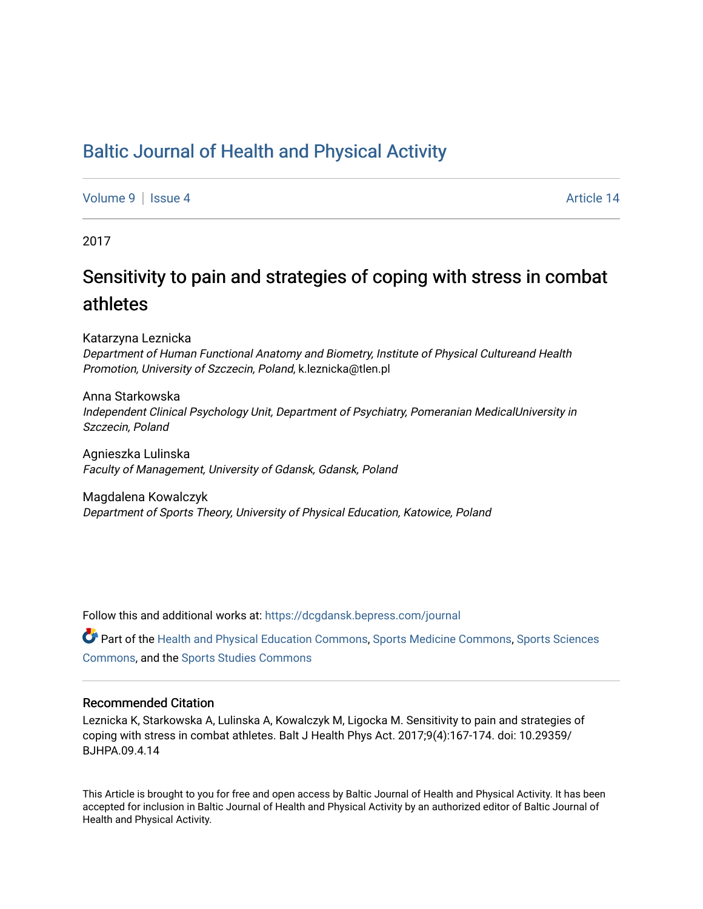## [Baltic Journal of Health and Physical Activity](https://dcgdansk.bepress.com/journal)

[Volume 9](https://dcgdansk.bepress.com/journal/vol9) | [Issue 4](https://dcgdansk.bepress.com/journal/vol9/iss4) Article 14

2017

## Sensitivity to pain and strategies of coping with stress in combat athletes

Katarzyna Leznicka Department of Human Functional Anatomy and Biometry, Institute of Physical Cultureand Health Promotion, University of Szczecin, Poland, k.leznicka@tlen.pl

Anna Starkowska Independent Clinical Psychology Unit, Department of Psychiatry, Pomeranian MedicalUniversity in Szczecin, Poland

Agnieszka Lulinska Faculty of Management, University of Gdansk, Gdansk, Poland

Magdalena Kowalczyk Department of Sports Theory, University of Physical Education, Katowice, Poland

Follow this and additional works at: [https://dcgdansk.bepress.com/journal](https://dcgdansk.bepress.com/journal?utm_source=dcgdansk.bepress.com%2Fjournal%2Fvol9%2Fiss4%2F14&utm_medium=PDF&utm_campaign=PDFCoverPages)

Part of the [Health and Physical Education Commons](http://network.bepress.com/hgg/discipline/1327?utm_source=dcgdansk.bepress.com%2Fjournal%2Fvol9%2Fiss4%2F14&utm_medium=PDF&utm_campaign=PDFCoverPages), [Sports Medicine Commons,](http://network.bepress.com/hgg/discipline/1331?utm_source=dcgdansk.bepress.com%2Fjournal%2Fvol9%2Fiss4%2F14&utm_medium=PDF&utm_campaign=PDFCoverPages) [Sports Sciences](http://network.bepress.com/hgg/discipline/759?utm_source=dcgdansk.bepress.com%2Fjournal%2Fvol9%2Fiss4%2F14&utm_medium=PDF&utm_campaign=PDFCoverPages) [Commons](http://network.bepress.com/hgg/discipline/759?utm_source=dcgdansk.bepress.com%2Fjournal%2Fvol9%2Fiss4%2F14&utm_medium=PDF&utm_campaign=PDFCoverPages), and the [Sports Studies Commons](http://network.bepress.com/hgg/discipline/1198?utm_source=dcgdansk.bepress.com%2Fjournal%2Fvol9%2Fiss4%2F14&utm_medium=PDF&utm_campaign=PDFCoverPages) 

#### Recommended Citation

Leznicka K, Starkowska A, Lulinska A, Kowalczyk M, Ligocka M. Sensitivity to pain and strategies of coping with stress in combat athletes. Balt J Health Phys Act. 2017;9(4):167-174. doi: 10.29359/ BJHPA.09.4.14

This Article is brought to you for free and open access by Baltic Journal of Health and Physical Activity. It has been accepted for inclusion in Baltic Journal of Health and Physical Activity by an authorized editor of Baltic Journal of Health and Physical Activity.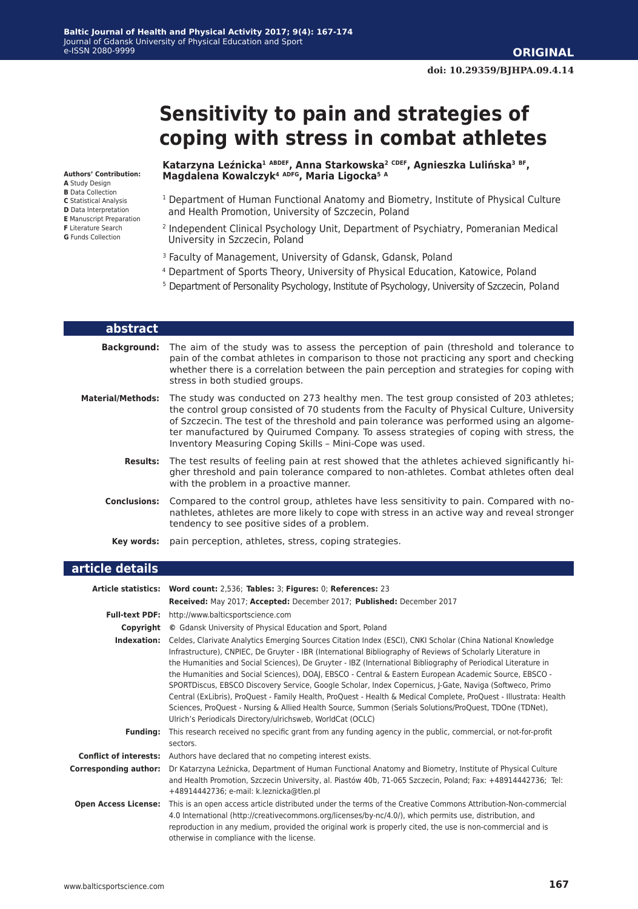# **Sensitivity to pain and strategies of coping with stress in combat athletes**

**Authors' Contribution:**

- **A** Study Design
- **B** Data Collection
- **C** Statistical Analysis **D** Data Interpretation
- **E** Manuscript Preparation
- **F** Literature Search
- **G** Funds Collection

 **Katarzyna Leźnicka<sup>1</sup> ABDEF, Anna Starkowska2 CDEF, Agnieszka Lulińska<sup>3</sup> BF, Magdalena Kowalczyk4 ADFG, Maria Ligocka5 <sup>A</sup>**

- 1 Department of Human Functional Anatomy and Biometry, Institute of Physical Culture and Health Promotion, University of Szczecin, Poland
- 2 Independent Clinical Psychology Unit, Department of Psychiatry, Pomeranian Medical University in Szczecin, Poland
- 3 Faculty of Management, University of Gdansk, Gdansk, Poland
- 4 Department of Sports Theory, University of Physical Education, Katowice, Poland
- 5 Department of Personality Psychology, Institute of Psychology, University of Szczecin, Poland

| abstract                 |                                                                                                                                                                                                                                                                                                                                                                                                                                      |
|--------------------------|--------------------------------------------------------------------------------------------------------------------------------------------------------------------------------------------------------------------------------------------------------------------------------------------------------------------------------------------------------------------------------------------------------------------------------------|
| <b>Background:</b>       | The aim of the study was to assess the perception of pain (threshold and tolerance to<br>pain of the combat athletes in comparison to those not practicing any sport and checking<br>whether there is a correlation between the pain perception and strategies for coping with<br>stress in both studied groups.                                                                                                                     |
| <b>Material/Methods:</b> | The study was conducted on 273 healthy men. The test group consisted of 203 athletes;<br>the control group consisted of 70 students from the Faculty of Physical Culture, University<br>of Szczecin. The test of the threshold and pain tolerance was performed using an algome-<br>ter manufactured by Quirumed Company. To assess strategies of coping with stress, the<br>Inventory Measuring Coping Skills - Mini-Cope was used. |
|                          | <b>Results:</b> The test results of feeling pain at rest showed that the athletes achieved significantly hi-<br>gher threshold and pain tolerance compared to non-athletes. Combat athletes often deal<br>with the problem in a proactive manner.                                                                                                                                                                                    |
| <b>Conclusions:</b>      | Compared to the control group, athletes have less sensitivity to pain. Compared with no-<br>nathletes, athletes are more likely to cope with stress in an active way and reveal stronger<br>tendency to see positive sides of a problem.                                                                                                                                                                                             |
| Key words:               | pain perception, athletes, stress, coping strategies.                                                                                                                                                                                                                                                                                                                                                                                |

#### **article details**

|                               | Article statistics: Word count: 2,536; Tables: 3; Figures: 0; References: 23                                                                                                                                                                                                                                                                                                                                                                                                                                                                                                                                                                                                                                                                                                                                                                                  |
|-------------------------------|---------------------------------------------------------------------------------------------------------------------------------------------------------------------------------------------------------------------------------------------------------------------------------------------------------------------------------------------------------------------------------------------------------------------------------------------------------------------------------------------------------------------------------------------------------------------------------------------------------------------------------------------------------------------------------------------------------------------------------------------------------------------------------------------------------------------------------------------------------------|
|                               | Received: May 2017; Accepted: December 2017; Published: December 2017                                                                                                                                                                                                                                                                                                                                                                                                                                                                                                                                                                                                                                                                                                                                                                                         |
| <b>Full-text PDF:</b>         | http://www.balticsportscience.com                                                                                                                                                                                                                                                                                                                                                                                                                                                                                                                                                                                                                                                                                                                                                                                                                             |
| Copyright                     | © Gdansk University of Physical Education and Sport, Poland                                                                                                                                                                                                                                                                                                                                                                                                                                                                                                                                                                                                                                                                                                                                                                                                   |
| Indexation:                   | Celdes, Clarivate Analytics Emerging Sources Citation Index (ESCI), CNKI Scholar (China National Knowledge<br>Infrastructure), CNPIEC, De Gruyter - IBR (International Bibliography of Reviews of Scholarly Literature in<br>the Humanities and Social Sciences), De Gruyter - IBZ (International Bibliography of Periodical Literature in<br>the Humanities and Social Sciences), DOAJ, EBSCO - Central & Eastern European Academic Source, EBSCO -<br>SPORTDiscus, EBSCO Discovery Service, Google Scholar, Index Copernicus, J-Gate, Naviga (Softweco, Primo<br>Central (ExLibris), ProQuest - Family Health, ProQuest - Health & Medical Complete, ProQuest - Illustrata: Health<br>Sciences, ProQuest - Nursing & Allied Health Source, Summon (Serials Solutions/ProQuest, TDOne (TDNet),<br>Ulrich's Periodicals Directory/ulrichsweb, WorldCat (OCLC) |
| <b>Fundina:</b>               | This research received no specific grant from any funding agency in the public, commercial, or not-for-profit<br>sectors.                                                                                                                                                                                                                                                                                                                                                                                                                                                                                                                                                                                                                                                                                                                                     |
| <b>Conflict of interests:</b> | Authors have declared that no competing interest exists.                                                                                                                                                                                                                                                                                                                                                                                                                                                                                                                                                                                                                                                                                                                                                                                                      |
| <b>Corresponding author:</b>  | Dr Katarzyna Leźnicka, Department of Human Functional Anatomy and Biometry, Institute of Physical Culture<br>and Health Promotion, Szczecin University, al. Piastów 40b, 71-065 Szczecin, Poland; Fax: +48914442736; Tel:<br>+48914442736; e-mail: k.leznicka@tlen.pl                                                                                                                                                                                                                                                                                                                                                                                                                                                                                                                                                                                         |
| <b>Open Access License:</b>   | This is an open access article distributed under the terms of the Creative Commons Attribution-Non-commercial<br>4.0 International (http://creativecommons.org/licenses/by-nc/4.0/), which permits use, distribution, and<br>reproduction in any medium, provided the original work is properly cited, the use is non-commercial and is<br>otherwise in compliance with the license.                                                                                                                                                                                                                                                                                                                                                                                                                                                                          |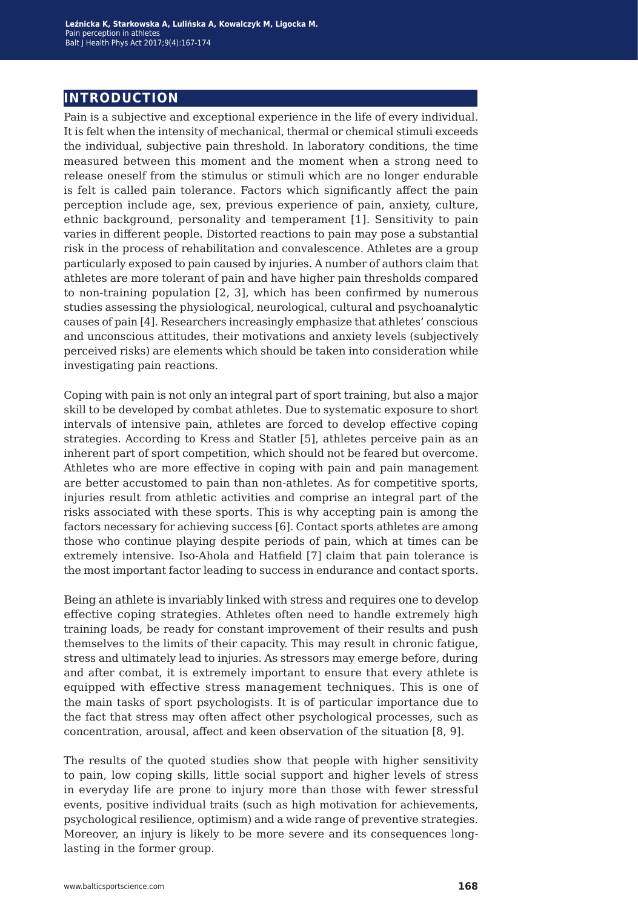### **introduction**

Pain is a subjective and exceptional experience in the life of every individual. It is felt when the intensity of mechanical, thermal or chemical stimuli exceeds the individual, subjective pain threshold. In laboratory conditions, the time measured between this moment and the moment when a strong need to release oneself from the stimulus or stimuli which are no longer endurable is felt is called pain tolerance. Factors which significantly affect the pain perception include age, sex, previous experience of pain, anxiety, culture, ethnic background, personality and temperament [1]. Sensitivity to pain varies in different people. Distorted reactions to pain may pose a substantial risk in the process of rehabilitation and convalescence. Athletes are a group particularly exposed to pain caused by injuries. A number of authors claim that athletes are more tolerant of pain and have higher pain thresholds compared to non-training population [2, 3], which has been confirmed by numerous studies assessing the physiological, neurological, cultural and psychoanalytic causes of pain [4]. Researchers increasingly emphasize that athletes' conscious and unconscious attitudes, their motivations and anxiety levels (subjectively perceived risks) are elements which should be taken into consideration while investigating pain reactions.

Coping with pain is not only an integral part of sport training, but also a major skill to be developed by combat athletes. Due to systematic exposure to short intervals of intensive pain, athletes are forced to develop effective coping strategies. According to Kress and Statler [5], athletes perceive pain as an inherent part of sport competition, which should not be feared but overcome. Athletes who are more effective in coping with pain and pain management are better accustomed to pain than non-athletes. As for competitive sports, injuries result from athletic activities and comprise an integral part of the risks associated with these sports. This is why accepting pain is among the factors necessary for achieving success [6]. Contact sports athletes are among those who continue playing despite periods of pain, which at times can be extremely intensive. Iso-Ahola and Hatfield [7] claim that pain tolerance is the most important factor leading to success in endurance and contact sports.

Being an athlete is invariably linked with stress and requires one to develop effective coping strategies. Athletes often need to handle extremely high training loads, be ready for constant improvement of their results and push themselves to the limits of their capacity. This may result in chronic fatigue, stress and ultimately lead to injuries. As stressors may emerge before, during and after combat, it is extremely important to ensure that every athlete is equipped with effective stress management techniques. This is one of the main tasks of sport psychologists. It is of particular importance due to the fact that stress may often affect other psychological processes, such as concentration, arousal, affect and keen observation of the situation [8, 9].

The results of the quoted studies show that people with higher sensitivity to pain, low coping skills, little social support and higher levels of stress in everyday life are prone to injury more than those with fewer stressful events, positive individual traits (such as high motivation for achievements, psychological resilience, optimism) and a wide range of preventive strategies. Moreover, an injury is likely to be more severe and its consequences longlasting in the former group.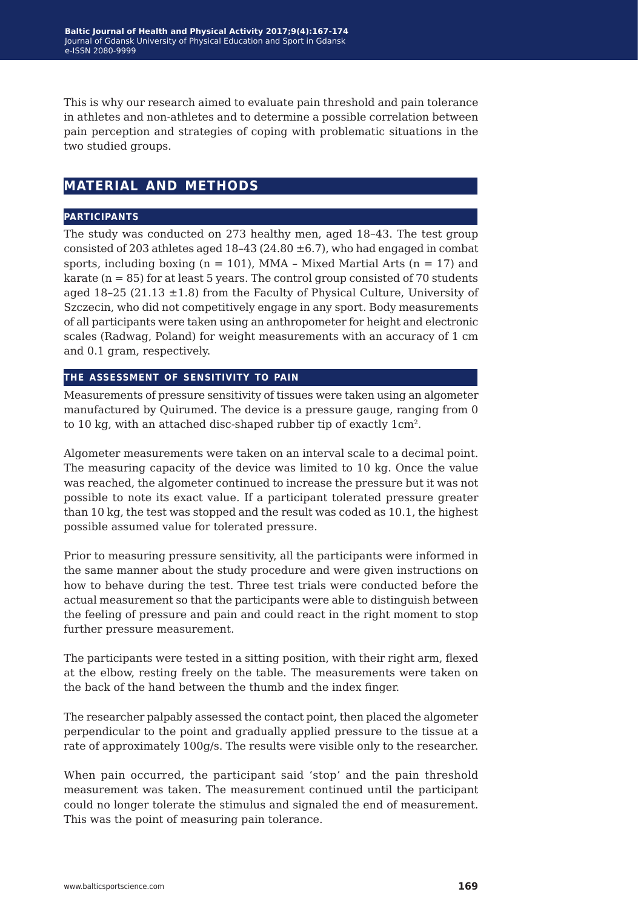This is why our research aimed to evaluate pain threshold and pain tolerance in athletes and non-athletes and to determine a possible correlation between pain perception and strategies of coping with problematic situations in the two studied groups.

## **material and methods**

#### **participants**

The study was conducted on 273 healthy men, aged 18–43. The test group consisted of 203 athletes aged  $18-43$  (24.80  $\pm$  6.7), who had engaged in combat sports, including boxing  $(n = 101)$ , MMA – Mixed Martial Arts  $(n = 17)$  and karate  $(n = 85)$  for at least 5 years. The control group consisted of 70 students aged 18–25 (21.13  $\pm$ 1.8) from the Faculty of Physical Culture, University of Szczecin, who did not competitively engage in any sport. Body measurements of all participants were taken using an anthropometer for height and electronic scales (Radwag, Poland) for weight measurements with an accuracy of 1 cm and 0.1 gram, respectively.

#### **the assessment of sensitivity to pain**

Measurements of pressure sensitivity of tissues were taken using an algometer manufactured by Quirumed. The device is a pressure gauge, ranging from 0 to 10 kg, with an attached disc-shaped rubber tip of exactly 1cm2.

Algometer measurements were taken on an interval scale to a decimal point. The measuring capacity of the device was limited to 10 kg. Once the value was reached, the algometer continued to increase the pressure but it was not possible to note its exact value. If a participant tolerated pressure greater than 10 kg, the test was stopped and the result was coded as 10.1, the highest possible assumed value for tolerated pressure.

Prior to measuring pressure sensitivity, all the participants were informed in the same manner about the study procedure and were given instructions on how to behave during the test. Three test trials were conducted before the actual measurement so that the participants were able to distinguish between the feeling of pressure and pain and could react in the right moment to stop further pressure measurement.

The participants were tested in a sitting position, with their right arm, flexed at the elbow, resting freely on the table. The measurements were taken on the back of the hand between the thumb and the index finger.

The researcher palpably assessed the contact point, then placed the algometer perpendicular to the point and gradually applied pressure to the tissue at a rate of approximately 100g/s. The results were visible only to the researcher.

When pain occurred, the participant said 'stop' and the pain threshold measurement was taken. The measurement continued until the participant could no longer tolerate the stimulus and signaled the end of measurement. This was the point of measuring pain tolerance.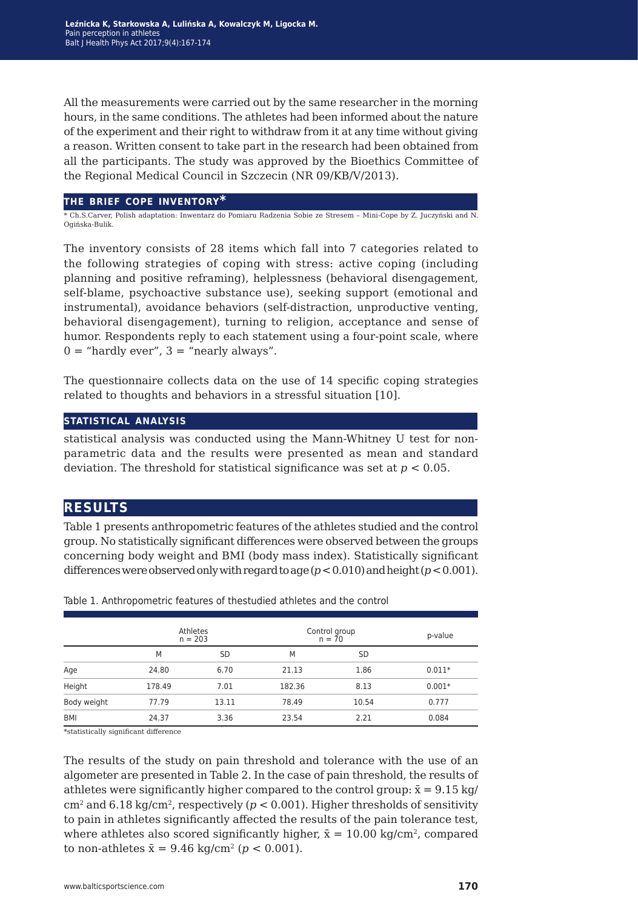All the measurements were carried out by the same researcher in the morning hours, in the same conditions. The athletes had been informed about the nature of the experiment and their right to withdraw from it at any time without giving a reason. Written consent to take part in the research had been obtained from all the participants. The study was approved by the Bioethics Committee of the Regional Medical Council in Szczecin (NR 09/KB/V/2013).

#### **the brief cope inventory\***

\* Ch.S.Carver, Polish adaptation: Inwentarz do Pomiaru Radzenia Sobie ze Stresem – Mini-Cope by Z. Juczyński and N. Ogińska-Bulik.

The inventory consists of 28 items which fall into 7 categories related to the following strategies of coping with stress: active coping (including planning and positive reframing), helplessness (behavioral disengagement, self-blame, psychoactive substance use), seeking support (emotional and instrumental), avoidance behaviors (self-distraction, unproductive venting, behavioral disengagement), turning to religion, acceptance and sense of humor. Respondents reply to each statement using a four-point scale, where  $0 =$  "hardly ever",  $3 =$  "nearly always".

The questionnaire collects data on the use of 14 specific coping strategies related to thoughts and behaviors in a stressful situation [10].

#### **statistical analysis**

statistical analysis was conducted using the Mann-Whitney U test for nonparametric data and the results were presented as mean and standard deviation. The threshold for statistical significance was set at *p* < 0.05.

#### **results**

Table 1 presents anthropometric features of the athletes studied and the control group. No statistically significant differences were observed between the groups concerning body weight and BMI (body mass index). Statistically significant differences were observed only with regard to age (*p* < 0.010) and height (*p* < 0.001).

|             | Athletes<br>$n = 203$ |           | Control group<br>$n = 70$ |       | p-value  |
|-------------|-----------------------|-----------|---------------------------|-------|----------|
|             | M                     | <b>SD</b> | M                         | SD    |          |
| Age         | 24.80                 | 6.70      | 21.13                     | 1.86  | $0.011*$ |
| Height      | 178.49                | 7.01      | 182.36                    | 8.13  | $0.001*$ |
| Body weight | 77.79                 | 13.11     | 78.49                     | 10.54 | 0.777    |
| <b>BMI</b>  | 24.37                 | 3.36      | 23.54                     | 2.21  | 0.084    |

Table 1. Anthropometric features of thestudied athletes and the control

\*statistically significant difference

The results of the study on pain threshold and tolerance with the use of an algometer are presented in Table 2. In the case of pain threshold, the results of athletes were significantly higher compared to the control group:  $\bar{x} = 9.15$  kg/  $\text{cm}^2$  and 6.18 kg/cm<sup>2</sup>, respectively ( $p < 0.001$ ). Higher thresholds of sensitivity to pain in athletes significantly affected the results of the pain tolerance test, where athletes also scored significantly higher,  $\bar{x} = 10.00 \text{ kg/cm}^2$ , compared to non-athletes  $\bar{x} = 9.46 \text{ kg/cm}^2 (p < 0.001)$ .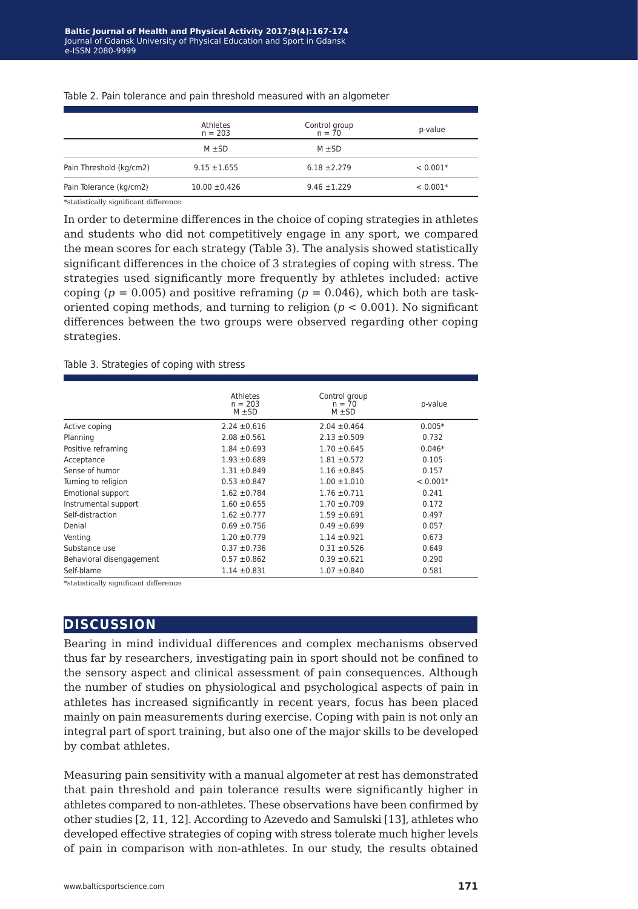|                         | Athletes<br>$n = 203$ | Control group<br>$n = 70$ | p-value    |
|-------------------------|-----------------------|---------------------------|------------|
|                         | $M \pm SD$            | $M \pm SD$                |            |
| Pain Threshold (kg/cm2) | $9.15 \pm 1.655$      | $6.18 + 2.279$            | $< 0.001*$ |
| Pain Tolerance (kg/cm2) | $10.00 \pm 0.426$     | $9.46 \pm 1.229$          | $< 0.001*$ |

Table 2. Pain tolerance and pain threshold measured with an algometer

\*statistically significant difference

In order to determine differences in the choice of coping strategies in athletes and students who did not competitively engage in any sport, we compared the mean scores for each strategy (Table 3). The analysis showed statistically significant differences in the choice of 3 strategies of coping with stress. The strategies used significantly more frequently by athletes included: active coping ( $p = 0.005$ ) and positive reframing ( $p = 0.046$ ), which both are taskoriented coping methods, and turning to religion (*p* < 0.001). No significant differences between the two groups were observed regarding other coping strategies.

Table 3. Strategies of coping with stress

|                          | Athletes<br>$n = 203$<br>$M \pm SD$ | Control group<br>$n = 70$<br>$M \pm SD$ | p-value    |
|--------------------------|-------------------------------------|-----------------------------------------|------------|
| Active coping            | $2.24 \pm 0.616$                    | $2.04 \pm 0.464$                        | $0.005*$   |
| Planning                 | $2.08 \pm 0.561$                    | $2.13 \pm 0.509$                        | 0.732      |
| Positive reframing       | $1.84 \pm 0.693$                    | $1.70 \pm 0.645$                        | $0.046*$   |
| Acceptance               | $1.93 + 0.689$                      | $1.81 \pm 0.572$                        | 0.105      |
| Sense of humor           | $1.31 \pm 0.849$                    | $1.16 \pm 0.845$                        | 0.157      |
| Turning to religion      | $0.53 \pm 0.847$                    | $1.00 \pm 1.010$                        | $< 0.001*$ |
| Emotional support        | $1.62 \pm 0.784$                    | $1.76 \pm 0.711$                        | 0.241      |
| Instrumental support     | $1.60 \pm 0.655$                    | $1.70 \pm 0.709$                        | 0.172      |
| Self-distraction         | $1.62 \pm 0.777$                    | $1.59 + 0.691$                          | 0.497      |
| Denial                   | $0.69 \pm 0.756$                    | $0.49 \pm 0.699$                        | 0.057      |
| Venting                  | $1.20 \pm 0.779$                    | $1.14 \pm 0.921$                        | 0.673      |
| Substance use            | $0.37 + 0.736$                      | $0.31 + 0.526$                          | 0.649      |
| Behavioral disengagement | $0.57 \pm 0.862$                    | $0.39 \pm 0.621$                        | 0.290      |
| Self-blame               | $1.14 \pm 0.831$                    | $1.07 \pm 0.840$                        | 0.581      |

\*statistically significant difference

### **discussion**

Bearing in mind individual differences and complex mechanisms observed thus far by researchers, investigating pain in sport should not be confined to the sensory aspect and clinical assessment of pain consequences. Although the number of studies on physiological and psychological aspects of pain in athletes has increased significantly in recent years, focus has been placed mainly on pain measurements during exercise. Coping with pain is not only an integral part of sport training, but also one of the major skills to be developed by combat athletes.

Measuring pain sensitivity with a manual algometer at rest has demonstrated that pain threshold and pain tolerance results were significantly higher in athletes compared to non-athletes. These observations have been confirmed by other studies [2, 11, 12]. According to Azevedo and Samulski [13], athletes who developed effective strategies of coping with stress tolerate much higher levels of pain in comparison with non-athletes. In our study, the results obtained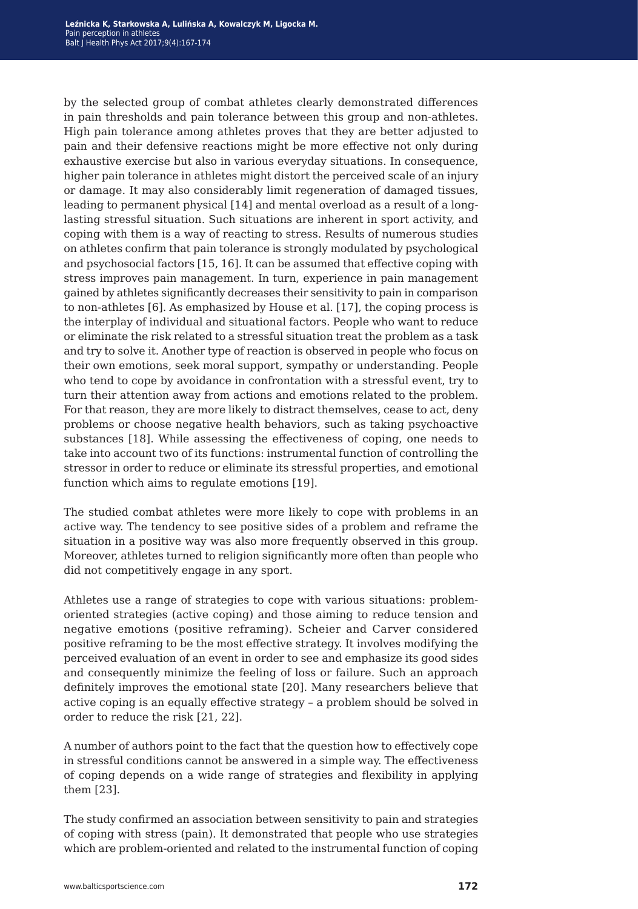by the selected group of combat athletes clearly demonstrated differences in pain thresholds and pain tolerance between this group and non-athletes. High pain tolerance among athletes proves that they are better adjusted to pain and their defensive reactions might be more effective not only during exhaustive exercise but also in various everyday situations. In consequence, higher pain tolerance in athletes might distort the perceived scale of an injury or damage. It may also considerably limit regeneration of damaged tissues, leading to permanent physical [14] and mental overload as a result of a longlasting stressful situation. Such situations are inherent in sport activity, and coping with them is a way of reacting to stress. Results of numerous studies on athletes confirm that pain tolerance is strongly modulated by psychological and psychosocial factors [15, 16]. It can be assumed that effective coping with stress improves pain management. In turn, experience in pain management gained by athletes significantly decreases their sensitivity to pain in comparison to non-athletes [6]. As emphasized by House et al. [17], the coping process is the interplay of individual and situational factors. People who want to reduce or eliminate the risk related to a stressful situation treat the problem as a task and try to solve it. Another type of reaction is observed in people who focus on their own emotions, seek moral support, sympathy or understanding. People who tend to cope by avoidance in confrontation with a stressful event, try to turn their attention away from actions and emotions related to the problem. For that reason, they are more likely to distract themselves, cease to act, deny problems or choose negative health behaviors, such as taking psychoactive substances [18]. While assessing the effectiveness of coping, one needs to take into account two of its functions: instrumental function of controlling the stressor in order to reduce or eliminate its stressful properties, and emotional function which aims to regulate emotions [19].

The studied combat athletes were more likely to cope with problems in an active way. The tendency to see positive sides of a problem and reframe the situation in a positive way was also more frequently observed in this group. Moreover, athletes turned to religion significantly more often than people who did not competitively engage in any sport.

Athletes use a range of strategies to cope with various situations: problemoriented strategies (active coping) and those aiming to reduce tension and negative emotions (positive reframing). Scheier and Carver considered positive reframing to be the most effective strategy. It involves modifying the perceived evaluation of an event in order to see and emphasize its good sides and consequently minimize the feeling of loss or failure. Such an approach definitely improves the emotional state [20]. Many researchers believe that active coping is an equally effective strategy – a problem should be solved in order to reduce the risk [21, 22].

A number of authors point to the fact that the question how to effectively cope in stressful conditions cannot be answered in a simple way. The effectiveness of coping depends on a wide range of strategies and flexibility in applying them [23].

The study confirmed an association between sensitivity to pain and strategies of coping with stress (pain). It demonstrated that people who use strategies which are problem-oriented and related to the instrumental function of coping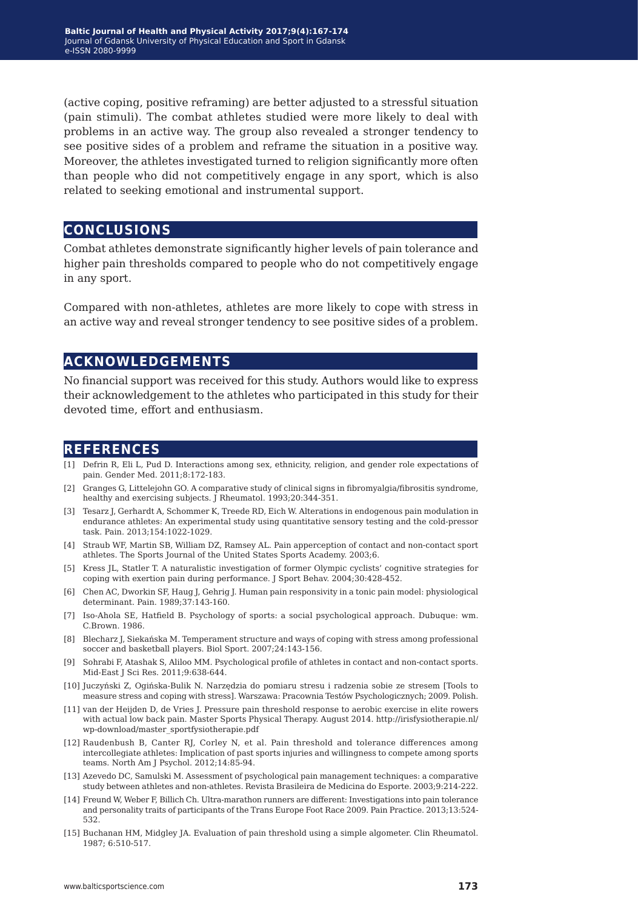(active coping, positive reframing) are better adjusted to a stressful situation (pain stimuli). The combat athletes studied were more likely to deal with problems in an active way. The group also revealed a stronger tendency to see positive sides of a problem and reframe the situation in a positive way. Moreover, the athletes investigated turned to religion significantly more often than people who did not competitively engage in any sport, which is also related to seeking emotional and instrumental support.

**conclusions**

Combat athletes demonstrate significantly higher levels of pain tolerance and higher pain thresholds compared to people who do not competitively engage in any sport.

Compared with non-athletes, athletes are more likely to cope with stress in an active way and reveal stronger tendency to see positive sides of a problem.

## **acknowledgements**

No financial support was received for this study. Authors would like to express their acknowledgement to the athletes who participated in this study for their devoted time, effort and enthusiasm.

## **references**

- [1] Defrin R, Eli L, Pud D. Interactions among sex, ethnicity, religion, and gender role expectations of pain. Gender Med. 2011;8:172-183.
- [2] Granges G, Littelejohn GO. A comparative study of clinical signs in fibromyalgia/fibrositis syndrome, healthy and exercising subjects. J Rheumatol. 1993;20:344-351.
- [3] Tesarz J, Gerhardt A, Schommer K, Treede RD, Eich W. Alterations in endogenous pain modulation in endurance athletes: An experimental study using quantitative sensory testing and the cold-pressor task. Pain. 2013;154:1022-1029.
- [4] Straub WF, Martin SB, William DZ, Ramsey AL. Pain apperception of contact and non-contact sport athletes. The Sports Journal of the United States Sports Academy. 2003;6.
- [5] Kress JL, Statler T. A naturalistic investigation of former Olympic cyclists' cognitive strategies for coping with exertion pain during performance. J Sport Behav. 2004;30:428-452.
- [6] Chen AC, Dworkin SF, Haug J, Gehrig J. Human pain responsivity in a tonic pain model: physiological determinant. Pain. 1989;37:143-160.
- [7] Iso-Ahola SE, Hatfield B. Psychology of sports: a social psychological approach. Dubuque: wm. C.Brown. 1986.
- [8] Blecharz J, Siekańska M. Temperament structure and ways of coping with stress among professional soccer and basketball players. Biol Sport. 2007;24:143-156.
- [9] Sohrabi F, Atashak S, Aliloo MM. Psychological profile of athletes in contact and non-contact sports. Mid-East J Sci Res. 2011;9:638-644.
- [10] Juczyński Z, Ogińska-Bulik N. Narzędzia do pomiaru stresu i radzenia sobie ze stresem [Tools to measure stress and coping with stress]. Warszawa: Pracownia Testów Psychologicznych; 2009. Polish.
- [11] van der Heijden D, de Vries J. Pressure pain threshold response to aerobic exercise in elite rowers with actual low back pain. Master Sports Physical Therapy. August 2014. http://irisfysiotherapie.nl/ wp-download/master\_sportfysiotherapie.pdf
- [12] Raudenbush B, Canter RJ, Corley N, et al. Pain threshold and tolerance differences among intercollegiate athletes: Implication of past sports injuries and willingness to compete among sports teams. North Am J Psychol. 2012;14:85-94.
- [13] Azevedo DC, Samulski M. Assessment of psychological pain management techniques: a comparative study between athletes and non-athletes. Revista Brasileira de Medicina do Esporte. 2003;9:214-222.
- [14] Freund W, Weber F, Billich Ch. Ultra-marathon runners are different: Investigations into pain tolerance and personality traits of participants of the Trans Europe Foot Race 2009. Pain Practice. 2013;13:524- 532.
- [15] Buchanan HM, Midgley JA. Evaluation of pain threshold using a simple algometer. Clin Rheumatol. 1987; 6:510-517.